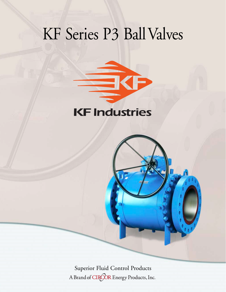# KF Series P3 Ball Valves



Superior Fluid Control ProductsA Brand of CIRCOR Energy Products, Inc.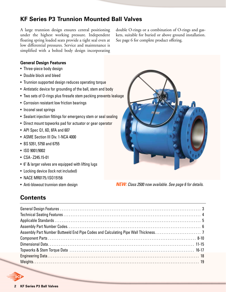# **KF Series P3 Trunnion Mounted Ball Valves**

A large trunnion design ensures central positioning under the highest working pressure. Independent floating spring loaded seats provide a tight seal even at low differential pressures. Service and maintenance is simplified with a bolted body design incorporating double O-rings or a combination of O-rings and gaskets, suitable for buried or above ground installation. See page 6 for complete product offering.

#### **General Design Features**

- Three-piece body design
- Double block and bleed
- Trunnion supported design reduces operating torque
- Antistatic device for grounding of the ball, stem and body
- Two sets of O-rings plus firesafe stem packing prevents leakage
- Corrosion resistant low friction bearings
- Inconel seat springs
- Sealant injection fittings for emergency stem or seal sealing
- Direct mount topworks pad for actuator or gear operator
- API Spec Q1, 6D, 6FA and 607
- ASME Section III Div. 1-NCA 4000
- BS 5351, 5750 and 6755
- ISO 9001/9002
- CSA- Z245.15-01
- 6" & larger valves are equipped with lifting lugs
- Locking device (lock not included)
- NACE MR0175 /ISO15156
- Anti-blowout trunnion stem design

**NEW:** Class 2500 now available. See page 6 for details.

# **Contents**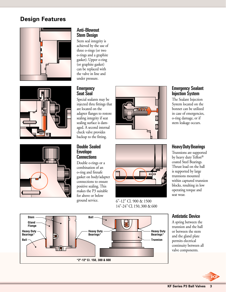# **Design Features**







#### Anti-Blowout Stem Design

Stem seal integrity is achieved by the use of three o-rings (or two o-rings and a graphite gasket). Upper o-ring (or graphite gasket) can be replaced with the valve in line and under pressure.

#### **Emergency** Seat Seal

Special sealants may be injected thru fittings that are located on the adapter flanges to restore sealing integrity if seat sealing surface is damaged. A second internal check valve provides backup to the fitting.

#### Double Sealed **Envelope Connections**

Double o-rings or a combination of an o-ring and firesafe gasket on body/adapter connections to ensure positive sealing. This makes the P3 suitable for above or below ground service.





6"-12" Cl. 900 & 1500 14"-24" Cl.150, 300 & 600



The Sealant Injection System located on the bonnet can be utilized in case of emergencies, o-ring damage, or if stem leakage occurs.

#### Heavy Duty Bearings

Trunnions are supported by heavy duty Teflon® coated Steel Bearings. Thrust load on the ball is supported by large trunnions mounted within captured trunnion blocks, resulting in low operating torque and seat wear.

#### Stem **Ball Gland Flange Ball Heavy Duty Bearings\* \*2"-12" Cl. 150, 300 & 600 Heavy Duty Bearings\* Heavy Duty Bearings\* Trunnion**



A spring between the trunnion and the ball or between the stem and the gland plate permits electrical continuity between all valve components.

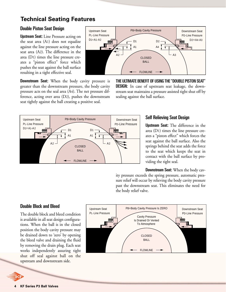# **Technical Seating Features**

#### Double Piston Seat Design

Upstream Seat: Line Pressure acting on the seat area (A1) does not equalize against the line pressure acting on the seat area (A2). The difference in the area (D1) times the line pressure creates a "piston effect" force which pushes the seat against the ball surface resulting in a tight effective seal.

**Downstream Seat:** When the body cavity pressure is greater than the downstream pressure, the body cavity pressure acts on the seal area (A4). The net pressure difference, acting over area (D2), pushes the downstream seat tightly against the ball creating a positive seal.



THE ULTIMATE BENEFIT OF USING THE "DOUBLE PISTON SEAT" **DESIGN:** In case of upstream seat leakage, the downstream seat maintains a pressure assisted tight shut off by sealing against the ball surface.



#### Self Relieving Seat Design

Upstream Seat: The difference in the area (D1) times the line pressure creates a "piston effect" which forces the seat against the ball surface. Also the springs behind the seat adds the force to the seat which keeps the seat in contact with the ball surface by providing the tight seal.

Downstream Seat: When the body cavity pressure exceeds the spring pressure, automatic pressure relief will occur by relieving the body cavity pressure past the downstream seat. This eliminates the need for the body relief valve.

#### Double Block and Bleed

The double block and bleed condition is available in all seat design configurations. When the ball is in the closed position the body cavity pressure may be drained down to 'zero' by opening the bleed valve and draining the fluid by removing the drain plug. Each seat works independently assuring tight shut off seal against ball on the upstream and downstream side.

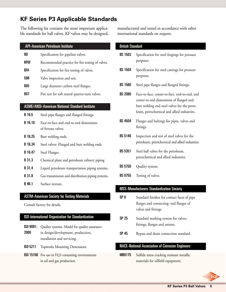# **KF Series P3 Applicable Standards**

The following list contains the most important applicable standards for ball valves. KF valves may be designed,

#### API-American Petroleum Institute

| 6D   | Specification for pipeline valves.               |
|------|--------------------------------------------------|
| RP6F | Recommended practice for fire testing of valves. |
| 6FA  | Specification for fire testing of valves.        |
| 598  | Valve inspection and test.                       |
| 605  | Large diameter carbon steel flanges.             |
| 607  | Fire test for soft seated quarter-turn valves.   |

#### ASME/ANSI-American National Standard Institute

- **B 16.5** Steel pipe flanges and flanged fittings.
- B 16.10 Face-to-face and end-to-end dimensions of ferrous valves.
- **B 16.25** Butt welding ends.
- B 16.34 Steel valves- Flanged and butt welding ends.
- B 16.47 Steel Flanges.
- B 31.3 Chemical plant and petroleum refinery piping
- **B 31.4** Liquid petroleum transportation piping systems.
- **B 31.8** Gas transmission and distribution piping systems.
- B 46.1 Surface texture.

#### ASTM-American Society for Testing Materials

Consult factory for details.

#### ISO-International Organization for Standardization

- ISO 9001: Quality systems-Model for quality assurance 2000 in design/development, production, installation and servicing.
- ISO 5211 Topworks Mounting Dimensions
- ISO 15156 For use in H2S containing environments in oil and gas production.

manufactured and tested in accordance with other international standards on request.

| <b>British Standard</b> |                                                                                                                                                                                        |
|-------------------------|----------------------------------------------------------------------------------------------------------------------------------------------------------------------------------------|
| <b>BS 1503</b>          | Specification for steel forgings for pressure<br>purposes.                                                                                                                             |
| <b>BS 1504</b>          | Specification for steel castings for pressure<br>purposes.                                                                                                                             |
| <b>BS 1560</b>          | Steel pipe flanges and flanged fittings.                                                                                                                                               |
| <b>BS 2080</b>          | Face-to-face, center-to-face, end-to-end, and<br>center-to-end dimensions of flanged and<br>butt welding end steel valves for the petro-<br>leum, petrochemical and allied industries. |
| <b>BS 4504</b>          | Flanges and boltings for pipes, valves and<br>fittings.                                                                                                                                |
| <b>BS 5146</b>          | Inspection and test of steel valves for the<br>petroleum, petrochemical and allied industries.                                                                                         |
| <b>BS 5351</b>          | Steel ball valves for the petroleum,<br>petrochemical and allied industries.                                                                                                           |
| <b>BS 5750</b>          | Quality system.                                                                                                                                                                        |
| <b>BS 6755</b>          | Testing of valves.                                                                                                                                                                     |
|                         | <b>MSS-Manufacturers Standardization Society</b>                                                                                                                                       |
| SP 6                    | Standard finishes for contact faces of pipe                                                                                                                                            |

- SP 6 Standard finishes for contact faces of pipe flanges and connecting- end flanges of valves and fittings.
- SP 25 Standard marking system for valves, fittings, flanges and unions.
- SP 45 Bypass and drain connection standard.

#### NACE-National Association of Corrosion Engineers

MR0175 Sulfide stress cracking resistant metallic materials for oilfield equipment.

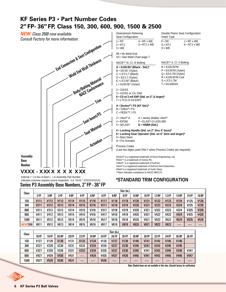# **KF Series P3 • Part Number Codes 2" FP- 36" FP, Class 150, 300, 600, 900, 1500 & 2500**

**NEW:** Class 2500 now available. Consult Factory for more information.



#### **VXXX - X XXX X X X X XX**

Asterisk ( \* ) in lieu of dash ( - ) in Assembly Part Number indicates customer requires source inspection.. (i.e. VXXX \* XXXXXXXXXX) Series P3 Assembly Base Numbers, 2" FP -36" FP

| Downstream Relieving<br>Seat Configuration                                                                                                                 |                                                                                     | Double Piston Seat Configuration<br>Insert Type                                                                                     |                                                   |  |  |  |
|------------------------------------------------------------------------------------------------------------------------------------------------------------|-------------------------------------------------------------------------------------|-------------------------------------------------------------------------------------------------------------------------------------|---------------------------------------------------|--|--|--|
| $1 \cdot RF$<br>2 • RTJ<br>$3 \cdot \text{WE}$                                                                                                             | 4 • RF x WE<br>5 • RTJ x WE                                                         | $F \cdot RF$<br>G•RTJ<br>H . WE                                                                                                     | $J \cdot RF \times WE$<br>$K \cdot RTJ \times WE$ |  |  |  |
| 99 . No Weld End<br>XX • See Weld Chart page 7.                                                                                                            |                                                                                     |                                                                                                                                     |                                                   |  |  |  |
| NACE** III, CI. III Bolting                                                                                                                                |                                                                                     | NACE** II, Cl. II Bolting                                                                                                           |                                                   |  |  |  |
| A • A105/B7 (Black - Std.)*<br>B · SS/B7 (Xylan)<br>C · LF2/L7 (Black)<br>$D \cdot SS/L7$ (Xylan)<br>$E \cdot LF2/B7$ (Black)<br>$L \cdot A105/B7$ (Xylan) |                                                                                     | $N \cdot A105/B7M$<br>$P \cdot SS/B7M (Xylan)$<br>$Q \cdot SS/L7M (Xylan)$<br>R . A105/B7M Cad<br>$S \cdot LF2/L7M$<br>T • SS/660SS |                                                   |  |  |  |
| $2 \cdot 316$ SS<br>3 . 410SS or CA-15M<br>7 • LTCS (3 mil ENP)                                                                                            | 6 . CS w/3 mil ENP (Std. on 2" & larger)*                                           |                                                                                                                                     |                                                   |  |  |  |
| A . Devlon® / FS (KF Std.)*<br>B • Teflon <sup>®</sup> / FS<br>C • PEEK™ / FS                                                                              |                                                                                     |                                                                                                                                     |                                                   |  |  |  |
| 2 ∙ Viton® A<br>4 • EPDM<br>5 ∙ AFLAS®                                                                                                                     | A • James Walker Viton <sup>®</sup><br>F • ELAST-O-LION 985<br>$G \cdot HNBR(Std.)$ |                                                                                                                                     |                                                   |  |  |  |
| 9 • Bare Stem<br>A • For Actuator                                                                                                                          | 4 • Locking Handle (Std. on 2" thru 4" bore)*                                       | 6 . Locking Gear Operator (Std. on 6" bore and larger)*                                                                             |                                                   |  |  |  |
| Process Codes                                                                                                                                              |                                                                                     | (Last two digits used ONLY when Process Codes are required).                                                                        |                                                   |  |  |  |

Devlon® is a registered trademark of Devol Engineering, Ltd. PEEK™ is a trademark of Victrex Plc. Teflon® is a registered trademark of DuPont. Viton® is a registered trademark of DuPont Dow Elastomers. Aflas® is a registered trademark of Asahi Glass. \*\*Nace indicates compliance to NACE MR0175

#### **\*STANDARD TRIM CONFIGURATION**

| Class           |                  |                 |                  |                 |                  |                  |                  |                  | Size (in.)       |              |                  |                  |             |                  |             |                  |
|-----------------|------------------|-----------------|------------------|-----------------|------------------|------------------|------------------|------------------|------------------|--------------|------------------|------------------|-------------|------------------|-------------|------------------|
|                 | 2FP              | 3 <sub>RP</sub> | 3 FP             | 4 <sub>RP</sub> | 4FP              | 6 <sub>RP</sub>  | 6FP              | 8 <sub>RP</sub>  | 8FP              | <b>10 RP</b> | <b>10FP</b>      | <b>12 RP</b>     | <b>12FP</b> | <b>14 RP</b>     | 14 FP       | <b>16 RP</b>     |
| 150             | <b>V111</b>      | <b>V112</b>     | V113             | V114            | V115             | V116             | V117             | V118             | V119             | V120         | V121             | <b>V122</b>      | V123        | <b>V124</b>      | V125        | V126             |
| 300             | V <sub>211</sub> | <b>V212</b>     | V <sub>213</sub> | V214            | V215             | V216             | V217             | <b>V218</b>      | V219             | V220         | V221             | V222             | V223        | <b>V224</b>      | V225        | V <sub>226</sub> |
| 600             | V311             | V312            | V313             | V314            | V315             | V316             | V317             | V318             | V319             | <b>V320</b>  | V321             | V322             | V323        | V324             | V325        | V326             |
| 900             | V411             | V412            | V413             | V414            | V415             | V416             | V417             | V418             | V419             | <b>V420</b>  | V421             | V422             | V423        | <b>V424</b>      | V425        | V426             |
| 1500            | V511             | V512            | V513             | V514            | V515             | V516             | V517             | V518             | V519             | <b>V520</b>  | V521             | <b>V522</b>      | V523        | <b>V524</b>      | V525        | V <sub>526</sub> |
| <b>NEW 2500</b> | <b>V611</b>      | V612            | V613             | V614            | V615             | <b>V616</b>      | V617             | <b>V618</b>      | V619             | V620         | V621             | <b>V622</b>      | <b>V623</b> |                  |             |                  |
|                 |                  |                 |                  |                 |                  |                  |                  |                  |                  |              |                  |                  |             |                  |             |                  |
|                 | Size (in.)       |                 |                  |                 |                  |                  |                  |                  |                  |              |                  |                  |             |                  |             |                  |
| <b>Class</b>    | <b>16 FP</b>     | <b>18FP</b>     | <b>20 RP</b>     | <b>20FP</b>     | <b>22 FP</b>     | 24 RP            | <b>24 FP</b>     | <b>26 FP</b>     | <b>28 FP</b>     | <b>30 RP</b> | <b>30 FP</b>     | 32 FP            | 34 FP       | <b>36 RP</b>     | 36 FP       |                  |
| 150             | V127             | V129            | V130             | V131            | V <sub>133</sub> | V <sub>134</sub> | V <sub>135</sub> | V <sub>137</sub> | V <sub>139</sub> | V140         | V <sub>141</sub> | V143             | V145        | V146             |             |                  |
| 300             | V227             | V229            | <b>V230</b>      | V231            | V <sub>233</sub> | V <sub>234</sub> | V235             | V237             | V <sub>239</sub> | <b>V240</b>  | V <sub>241</sub> | V <sub>243</sub> | V245        | V <sub>246</sub> |             |                  |
| 600             | V327             | V329            | V330             | V331            | V333             | V334             | V335             | V337             | V339             | V340         | V341             | V343             | V345        | V346             | V347        |                  |
| 900             | V427             | V429            | <b>V430</b>      | V431            |                  | V434             | V435             | <b>V437</b>      | V439             | <b>V440</b>  | V441             | V443             | V445        | V446             | <b>V447</b> |                  |
| 1500            | V527             | V529            | <b>V530</b>      | V531            |                  |                  | V535             |                  |                  |              |                  |                  |             |                  |             |                  |

Note: Shaded items are not available at this time. (Consult factory for verification)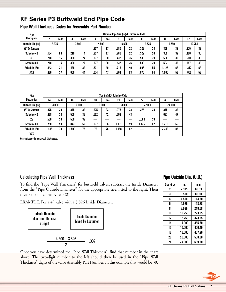# **KF Series P3 Buttweld End Pipe Code**

| Pipe               | Nominal Pipe Size (in.)/KF Schedule Code |      |        |       |      |       |      |       |      |        |       |        |       |      |
|--------------------|------------------------------------------|------|--------|-------|------|-------|------|-------|------|--------|-------|--------|-------|------|
| <b>Description</b> |                                          | Code | c<br>a | Code  | 4    | Code  | 6    | Code  | 8    | Code   | 10    | Code   | 12    | Code |
| Outside Dia. (in.) | 3.500<br>2.375                           |      |        | 4.500 |      | 6.625 |      | 8.625 |      | 10.750 |       | 12.750 |       |      |
| (STD) Standard     |                                          |      |        |       | .237 | 17    | .280 | 22    | .322 | 28     | .365  | 32     | .375  | 33   |
| Schedule 40        | .154                                     | 08   | .216   | 14    | .237 | 17    | .280 | 22    | .322 | 28     | .365  | 32     | .406  | 35   |
| XS                 | .218                                     | 15   | .300   | 24    | .337 | 30    | .432 | 36    | .500 | 39     | .500  | 39     | .500  | 39   |
| Schedule 80        | .218                                     | 15   | .300   | 24    | .337 | 30    | .432 | 36    | .500 | 39     | .593  | 43     | .687  | 48   |
| Schedule 160       | .343                                     | 31   | .438   | 38    | .531 | 40    | .718 | 49    | .906 | 55     | 1.125 | 62     | 1.312 | 68   |
| XXS                | .436                                     | 37   | .600   | 44    | .674 | 47    | .864 | 53    | .875 | 54     | .000  | 58     | .000  | 58   |

Pipe Wall Thickness Codes for Assembly Part Number

| Pipe               | Size (in.)/KF Schedule Code |        |       |        |       |        |      |        |       |        |       |        |  |
|--------------------|-----------------------------|--------|-------|--------|-------|--------|------|--------|-------|--------|-------|--------|--|
| <b>Description</b> | 14                          | Code   | 16    | Code   | 18    | Code   | 20   | Code   | 22    | Code   | 24    | Code   |  |
| Outside Dia. (in.) |                             | 14.000 |       | 16.000 |       | 18.000 |      | 20.000 |       | 22,000 |       | 24.000 |  |
| (STD) Standard     | .375                        | 33     | .375  | 33     | .375  | 33     | .375 | 33     | .375  | 33     | .375  | 33     |  |
| Schedule 40        | .438                        | 38     | .500  | 39     | .562  | 42     | .593 | 43     |       |        | .687  | 47     |  |
| XS                 | .500                        | 39     | .500  | 39     |       |        |      |        | 0.500 | 39     |       |        |  |
| Schedule 80        | .750                        | 50     | .843  | 52     | .937  | 56     | .031 | 59     | 1.125 | 62     | 1.218 | 65     |  |
| Schedule 160       | 1.406                       | 70     | 1.593 | 75     | 1.781 | 78     | .968 | 82     |       |        | 2.343 | 85     |  |
| XXS                |                             |        |       |        |       |        |      |        |       |        |       |        |  |

Consult factory for other wall thicknesses.

#### Calculating Pipe Wall Thickness **Pipe Outside Dia.** (O.D.)

To find the "Pipe Wall Thickness" for buttweld valves, subtract the Inside Diameter from the "Pipe Outside Diameter" for the appropriate size, listed to the right. Then divide the outcome by two (2).

EXAMPLE: For a 4" valve with a 3.826 Inside Diameter:



| Size (in.) | in.    | mm     |
|------------|--------|--------|
| 2          | 2.375  | 60.33  |
| 3          | 3.500  | 88.90  |
| 4          | 4.500  | 114.30 |
| 6          | 6.625  | 168.28 |
| 8          | 8.625  | 219.08 |
| 10         | 10.750 | 273.05 |
| 12         | 12.750 | 323.85 |
| 14         | 14.000 | 355.60 |
| 16         | 16.000 | 406.40 |
| 18         | 18.000 | 457.20 |
| 20         | 20.000 | 508.00 |
| 24         | 24.000 | 609.60 |

Once you have determined the "Pipe Wall Thickness", find that number in the chart above. The two-digit number to the left should then be used in the "Pipe Wall Thickness" digits of the valve Assembly Part Number. In this example that would be 30.

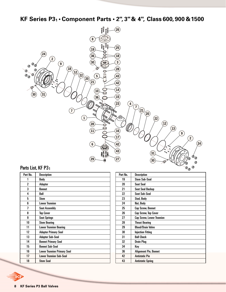**KF Series P31 • Component Parts • 2", 3" & 4", Class 600, 900 &1500**



# Parts List, KF P3<sub>1</sub>

| Part No. | <b>Description</b>                 |
|----------|------------------------------------|
| 1        | Body                               |
| 2        | <b>Adapter</b>                     |
| 3        | <b>Bonnet</b>                      |
| 4        | Ball                               |
| 5        | Stem                               |
| ĥ        | <b>Lower Trunnion</b>              |
| 7        | <b>Seat Assembly</b>               |
| 8        | <b>Top Cover</b>                   |
| g        | <b>Seat Springs</b>                |
| 10       | <b>Stem Bearing</b>                |
| 11       | <b>Lower Trunnion Bearing</b>      |
| 12       | <b>Adapter Primary Seal</b>        |
| 13       | <b>Adapter Sub-Seal</b>            |
| 14       | <b>Bonnet Primary Seal</b>         |
| 15       | <b>Bonnet Sub-Seal</b>             |
| 16       | <b>Lower Trunnion Primary Seal</b> |
| 17       | <b>Lower Trunnion Sub-Seal</b>     |
| 18       | <b>Stem Seal</b>                   |

| Part No. | <b>Description</b>               |
|----------|----------------------------------|
| 19       | <b>Stem Sub-Seal</b>             |
| 20       | <b>Seat Seal</b>                 |
| 21       | <b>Seat Seal Backup</b>          |
| 22       | <b>Seat Sub-Seal</b>             |
| 23       | Stud, Body                       |
| 24       | Nut, Body                        |
| 25       | Cap Screw, Bonnet                |
| 26       | Cap Screw, Top Cover             |
| 27       | <b>Cap Screw, Lower Trunnion</b> |
| 28       | <b>Thrust Bearing</b>            |
| 29       | <b>Bleed/Drain Valve</b>         |
| 30       | <b>Injection Fitting</b>         |
| 31       | <b>Ball Check</b>                |
| 32       | <b>Drain Plug</b>                |
| 34       | Key                              |
| 36       | <b>Alignment Pin, Bonnet</b>     |
| 42       | <b>Antistatic Pin</b>            |
| 43       | <b>Antistatic Spring</b>         |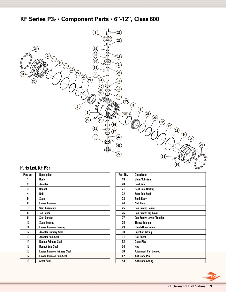**KF Series P32 • Component Parts • 6"-12", Class 600**



# Parts List, KF P32

| Part No. | <b>Description</b>                 |
|----------|------------------------------------|
|          | Body                               |
| 2        | Adapter                            |
| 3        | <b>Bonnet</b>                      |
| 4        | Ball                               |
| 5        | Stem                               |
| ĥ        | <b>Lower Trunnion</b>              |
| 7        | <b>Seat Assembly</b>               |
| 8        | <b>Top Cover</b>                   |
| 9        | <b>Seat Springs</b>                |
| 10       | <b>Stem Bearing</b>                |
| 11       | <b>Lower Trunnion Bearing</b>      |
| 12       | <b>Adapter Primary Seal</b>        |
| 13       | <b>Adapter Sub-Seal</b>            |
| 14       | <b>Bonnet Primary Seal</b>         |
| 15       | <b>Bonnet Sub-Seal</b>             |
| 16       | <b>Lower Trunnion Primary Seal</b> |
| 17       | <b>Lower Trunnion Sub-Seal</b>     |
| 18       | Stem Seal                          |

| Part No. | <b>Description</b>               |
|----------|----------------------------------|
| 19       | <b>Stem Sub-Seal</b>             |
| 20       | <b>Seat Seal</b>                 |
| 21       | <b>Seat Seal Backup</b>          |
| 22       | <b>Seat Sub-Seal</b>             |
| 23       | Stud, Body                       |
| 24       | Nut, Body                        |
| 25       | <b>Cap Screw, Bonnet</b>         |
| 26       | Cap Screw, Top Cover             |
| 27       | <b>Cap Screw, Lower Trunnion</b> |
| 28       | <b>Thrust Bearing</b>            |
| 29       | <b>Bleed/Drain Valve</b>         |
| 30       | <b>Injection Fitting</b>         |
| 31       | <b>Ball Check</b>                |
| 32       | <b>Drain Plug</b>                |
| 34       | Key                              |
| 36       | <b>Alignment Pin, Bonnet</b>     |
| 42       | <b>Antistatic Pin</b>            |
| 43       | <b>Antistatic Spring</b>         |

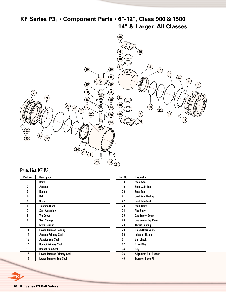# **KF Series P33 • Component Parts • 6"-12", Class 900 & 1500 14" & Larger, All Classes**



#### Parts List, KF P33

| Part No. | <b>Description</b>                 |
|----------|------------------------------------|
| 1        | Body                               |
| 2        | Adapter                            |
| 3        | <b>Bonnet</b>                      |
| 4        | Ball                               |
| 5        | <b>Stem</b>                        |
| 6        | <b>Trunnion Block</b>              |
| 7        | <b>Seat Assembly</b>               |
| 8        | <b>Top Cover</b>                   |
| g        | <b>Seat Springs</b>                |
| 10       | <b>Stem Bearing</b>                |
| 11       | <b>Lower Trunnion Bearing</b>      |
| 12       | <b>Adapter Primary Seal</b>        |
| 13       | <b>Adapter Sub-Seal</b>            |
| 14       | <b>Bonnet Primary Seal</b>         |
| 15       | <b>Bonnet Sub-Seal</b>             |
| 16       | <b>Lower Trunnion Primary Seal</b> |
| 17       | <b>Lower Trunnion Sub-Seal</b>     |

| Part No. | <b>Description</b>           |
|----------|------------------------------|
| 18       | <b>Stem Seal</b>             |
| 19       | <b>Stem Sub-Seal</b>         |
| 20       | <b>Seat Seal</b>             |
| 21       | Seat Seal Backup             |
| 22       | <b>Seat Sub-Seal</b>         |
| 23       | Stud, Body                   |
| 24       | Nut, Body                    |
| 25       | Cap Screw, Bonnet            |
| 26       | Cap Screw, Top Cover         |
| 28       | <b>Thrust Bearing</b>        |
| 29       | <b>Bleed/Drain Valve</b>     |
| 30       | <b>Injection Fitting</b>     |
| 31       | <b>Ball Check</b>            |
| 32       | <b>Drain Plug</b>            |
| 34       | Key                          |
| 36       | <b>Alignment Pin, Bonnet</b> |
| 46       | <b>Trunnion Block Pin</b>    |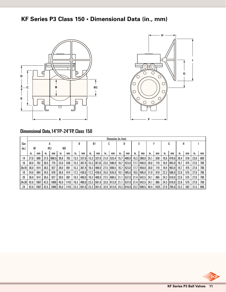# **KF Series P3 Class 150 • Dimensional Data (in., mm)**





# Dimensional Data,14"FP-24"FP, Class 150

|       |      |      |      |       |           |      |      |       |                |           |      | Dimension (in./mm) |                |         |      |       |      |      |      |              |      |     |      |     |
|-------|------|------|------|-------|-----------|------|------|-------|----------------|-----------|------|--------------------|----------------|---------|------|-------|------|------|------|--------------|------|-----|------|-----|
| Size  |      |      |      | A     |           |      |      |       | B <sub>1</sub> |           |      | ı.                 |                | D       |      |       |      |      |      | G            | н    |     |      |     |
| (in.) | RF   |      | RTJ  |       | <b>WE</b> |      |      |       |                |           |      |                    |                |         |      |       |      |      |      |              |      |     |      |     |
|       | In.  | mm   | In.  | mm    | In.       | mm   | In.  | mm    | in.            | mm        | In.  | mm                 | $\mathsf{m}$ . | mm      | in.  | mm    | In.  | mm   | In.  | mm           | In.  | mm  | In.  | mm  |
| 14    | 27.0 | 686  | 27.5 | 698.5 | 30.0      | 762  | 13.3 | 337.0 | 13.3           | 1337.01   | 21.0 | 533.4              | 15.7           | 400.0   | 15.3 | 388.0 | 25.1 | 638  | 18.5 | 1470.0       | 20.4 | 518 | 23.6 | 600 |
| 16    | 30.0 | 762  | 30.5 | 775   | 33.0      | 838  | 15.3 | 387.4 | 15.3           | 1387.351  | 23.5 | 596.9              | 16.7           | 423.0   | 17.7 | 450.0 | 28.0 | 710  | 19.4 | 493.0        | 18.7 | 475 | 27.6 | 700 |
| 20x16 | 36.0 | 914  | 36.5 | 927   | 39.0      | 991  | 15.3 | 387.4 | 19.3           | l 489.0 l | 27.5 | 698.5              | 16.7           | 423.01  | 17.7 | 450.0 | 28.0 | 710  | 19.4 | 493.0        | 18.7 | 475 | 27.6 | 700 |
| 18    | 34.0 | 864  | 34.5 | 876   | 36.0      | 914  | 17.2 | 438.0 | 17.2           | 438.0     | 25.0 | 635.0              | 19.1           | 485.0   | 19.5 | 495.0 | 31.9 | 810  | 22.3 | 566.0        | 22.6 | 575 | 27.6 | 700 |
| 20    | 36.0 | 914  | 36.5 | 927   | 39.0      | 991  | 19.3 | 489.0 | 19.3           | l 489.0 l | 27.5 | 698.5 21.1         |                | 1537.01 | 21.4 | 542.5 | 34.1 | 865  | 24.3 | 618.0        | 22.6 | 575 | 27.6 | 700 |
| 24x20 | 42.0 | 1067 | 42.5 | 1080  | 45.0      | 1143 | 19.3 | 489.0 | 23.3           | 1591.01   | 32.0 | 812.8 21.1         |                | 1537.01 | 21.4 | 542.5 | 34.1 | 865  | 24.3 | $618.0$ 22.6 |      | 575 | 27.6 | 700 |
| 24    | 42.0 | 1067 | 42.5 | 1080  | 45.0      | 1143 | 23.3 | 591.0 | 23.3           | 1591.01   | 32.0 | 813.0              | 24.3           | 1616.01 | 23.2 | 590.5 | 40.4 | 1025 | 27.8 | 705.0        | 23.3 | 592 | 31.5 | 800 |

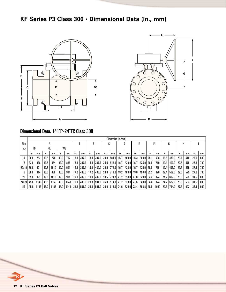# **KF Series P3 Class 300 • Dimensional Data (in., mm)**





# Dimensional Data, 14"FP-24"FP, Class 300

|         |      |      |            |      |      |      |      |       |      |       |      | Dimension (in./mm) |      |           |      |       |      |      |      |       |      |     |      |     |
|---------|------|------|------------|------|------|------|------|-------|------|-------|------|--------------------|------|-----------|------|-------|------|------|------|-------|------|-----|------|-----|
| Size    |      |      |            |      |      |      |      | B     | B1   |       |      |                    |      | D         |      |       |      |      |      | G     | н    |     |      |     |
| (in.)   | RF   |      | <b>RTJ</b> |      | WE   |      |      |       |      |       |      |                    |      |           |      |       |      |      |      |       |      |     |      |     |
|         | In.  | mm   | In.        | mm   | m.   | mm   | m.   | mm    | In.  | mm    | In.  | mm                 | In.  | mm        | In.  | mm    | In.  | mm   | In.  | mm    | In.  | mm  | In.  | mm  |
| 14      | 30.0 | 762  | 30.6       | 778  | 30.0 | 762  | 13.3 | 337.0 | 13.3 | 337.0 | 23.0 | 584.0              | 15.7 | 400.OI    | 15.3 | 388.0 | 25.7 | 638  | 18.5 | 470.0 | 20.4 | 518 | 23.6 | 600 |
| 16      | 33.0 | 838  | 33.6       | 854  | 33.0 | 838  | 15.3 | 387.4 | 15.3 | 387.4 | 25.5 | 648.0              | 16.7 | 423.0     | 16.7 | 425.0 | 28.0 | 710  | 19.4 | 493.0 | 22.6 | 575 | 27.6 | 700 |
| 20x16   | 39.0 | 991  | 39.8       | 1010 | 39.0 | 991  | 15.3 | 387.4 | 19.3 | 489.0 | 30.5 | 775.0              | 16.7 | 423.0     | 16.7 | 425.0 | 28.0 | 710  | 19.4 | 493.0 | 22.6 | 575 | 27.6 | 700 |
| 18      | 36.0 | 914  | 36.6       | 930  | 36.0 | 914  | 17.2 | 438.0 | 17.2 | 438.0 | 28.0 | 711.0              | 19.2 | 488.OI    | 19.6 | 498.0 | 32.3 | 820  | 22.4 | 569.0 | 22.6 | 575 | 27.6 | 700 |
| 20      | 39.0 | 991  | 39.8       | 1010 | 39.0 | 991  | 19.3 | 489.0 | 19.3 | 489.0 | 30.5 | 774.7              | 21.2 | l 538.0 l | 21.6 | 549.0 | 34.4 | 874  | 24.7 | 627.0 | 23.3 | 592 | 31.5 | 800 |
| 24 x 20 | 45.0 | 1143 | 45.9       | 1165 | 45.0 | 1143 | 19.3 | 489.0 | 23.3 | 591.0 | 36.0 | 914.0              | 21.2 | 1538.01   | 21.6 | 549.0 | 34.4 | 874  | 24.7 | 627.0 | 23.3 | 592 | 31.5 | 800 |
| 24      | 45.0 | 1143 | 45.9       | 1165 | 45.0 | 1143 | 23.3 | 591.0 | 23.3 | 591.0 | 36.0 | 914.0              | 24.6 | 624.0     | 23.4 | 593.8 | 40.9 | 1040 | 29.3 | 744.0 | 27.3 | 693 | 35.4 | 900 |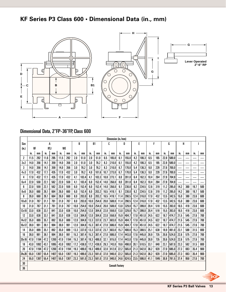# **KF Series P3 Class 600 • Dimensional Data (in., mm)**



# Dimensional Data, 2"FP-36"FP, Class 600

|       |      |      |            |      |           |      |      |       |                |       |      | Dimension (in./mm)     |      |       |      |       |      |      |      |       |      |     |      |     |
|-------|------|------|------------|------|-----------|------|------|-------|----------------|-------|------|------------------------|------|-------|------|-------|------|------|------|-------|------|-----|------|-----|
| Size  |      |      |            | A    |           |      |      | B     | B <sub>1</sub> |       |      | C                      |      | D     |      | E     |      | F    |      | G     | H    |     |      |     |
| (in.) | RF   |      | <b>RTJ</b> |      | <b>WE</b> |      |      |       |                |       |      |                        |      |       |      |       |      |      |      |       |      |     |      |     |
|       | ın.  | mm   | in.        | mm   | in.       | mm   | in.  | mm    | in.            | mm    | in.  | mm                     | in.  | mm    | in.  | mm    | in.  | mm   | in.  | mm    | in.  | mm  | in.  | mm  |
| 2     | 11.5 | 292  | 11.6       | 295  | 11.5      | 292  | 2.0  | 51.0  | 2.0            | 51.0  | 6.5  | 165.0                  | 6.1  | 155.0 | 4.2  | 106.3 | 6.5  | 165  | 22.8 | 580.0 |      |     |      |     |
| 3x2   | 14.0 | 356  | 14.1       | 359  | 14.0      | 356  | 2.0  | 51.0  | 3.0            | 76.2  | 8.3  | 210.0                  | 6.1  | 155.0 | 4.2  | 106.3 | 6.5  | 165  | 22.8 | 580.0 |      |     |      |     |
| 3     | 14.0 | 356  | 14.1       | 359  | 14.0      | 356  | 3.0  | 76.2  | 3.0            | 76.2  | 8.3  | 210.0                  | 6.7  | 170.0 | 5.4  | 136.3 | 9.0  | 229  | 27.6 | 700.0 |      |     |      |     |
| 4x3   | 17.0 | 432  | 17.1       | 435  | 17.0      | 432  | 3.0  | 76.2  | 4.0            | 101.6 | 10.7 | 273.0                  | 6.7  | 170.0 | 5.4  | 136.3 | 9.0  | 229  | 27.6 | 700.0 |      |     |      |     |
| 4     | 17.0 | 432  | 17.1       | 435  | 17.0      | 432  | 4.1  | 103.4 | 4.1            | 103.3 | 10.8 | 273.1                  | 8.0  | 201.0 | 6.4  | 162.3 | 10.4 | 264  | 27.8 | 704.9 |      |     |      |     |
| 6x4   | 22.0 | 559  | 22.1       | 562  | 22.0      | 559  | 4.1  | 103.4 | 6.0            | 152.4 | 14.0 | 356.0                  | 8.0  | 201.0 | 6.4  | 162.3 | 10.4 | 264  | 27.8 | 704.9 |      |     |      |     |
| 6     | 22.0 | 559  | 22.1       | 562  | 22.0      | 559  | 6.0  | 152.4 | 6.0            | 152.4 | 14.0 | 356.0                  | 9.1  | 230.0 | 9.2  | 234.5 | 12.6 | 319  | 11.2 | 285.0 | 14.2 | 360 | 19.7 | 500 |
| 8x6   | 26.0 | 660  | 26.1       | 664  | 26.0      | 660  | 6.0  | 152.4 | 8.0            | 203.2 | 16.5 | 419.1                  | 9.1  | 230.0 | 9.2  | 234.5 | 12.6 | 319  | 11.2 | 285.0 | 14.2 | 360 | 19.7 | 500 |
| 8     | 26.0 | 660  | 26.1       | 664  | 26.0      | 660  | 8.0  | 203.0 | 8.0            | 203.2 | 16.5 | 419.1                  | 11.4 | 290.5 | 12.4 | 316.0 | 17.0 | 432  | 13.5 | 342.5 | 15.0 | 380 | 23.6 | 600 |
| 10x8  | 31.0 | 787  | 31.1       | 791  | 31.0      | 787  | 8.0  | 203.0 | 10.0           | 254.0 | 20.0 | 508.0                  | 11.4 | 290.5 | 12.4 | 316.0 | 17.0 | 432  | 13.5 | 342.5 | 15.0 | 380 | 23.6 | 600 |
| 10    | 31.0 | 787  | 31.1       | 791  | 31.0      | 787  | 10.0 | 254.0 | 10.0           | 254.0 | 20.0 | 508.0                  | 13.0 | 329.0 | 15.7 | 399.0 | 20.4 | 518  | 15.5 | 393.0 | 16.5 | 418 | 23.6 | 600 |
| 12x10 | 33.0 | 838  | 33.1       | 841  | 33.0      | 838  | 10.0 | 254.0 | 12.0           | 304.8 | 22.0 | 559.0                  | 13.0 | 329.0 | 15.7 | 399.0 | 20.4 | 518  | 15.5 | 393.0 | 16.5 | 418 | 23.6 | 600 |
| 12    | 33.0 | 838  | 33.1       | 841  | 33.0      | 838  | 12.0 | 304.8 | 12.0           | 304.8 | 22.0 | 558.8                  | 15.9 | 404.7 | 17.8 | 451.0 | 24.5 | 622  | 18.7 | 474.7 | 21.5 | 545 | 27.6 | 700 |
| 14x12 | 35.0 | 889  | 35.1       | 892  | 35.0      | 889  | 12.0 | 304.8 | 13.3           | 337.0 | 23.7 | 603.0                  | 15.9 | 404.7 | 17.8 | 451.0 | 24.5 | 622  | 18.7 | 474.7 | 21.5 | 545 | 27.6 | 700 |
| 16x12 | 39.0 | 991  | 39.1       | 994  | 39.0      | 991  | 12.0 | 304.8 | 15.3           | 387.4 | 27.0 | 686.0                  | 15.9 | 404.7 | 17.8 | 451.0 | 24.5 | 622  | 18.7 | 474.7 | 21.5 | 545 | 27.6 | 700 |
| 14    | 35.0 | 889  | 35.1       | 892  | 35.0      | 889  | 13.3 | 337.0 | 13.3           | 337.0 | 23.7 | 603.0                  | 15.7 | 400.0 | 15.3 | 388.5 | 25.1 | 638  | 18.9 | 481.0 | 23.1 | 588 | 31.5 | 800 |
| 16    | 39.0 | 991  | 39.1       | 994  | 39.0      | 991  | 15.3 | 387.4 | 15.3           | 387.4 | 27.0 | 686.0                  | 17.4 | 443.0 | 17.6 | 445.8 | 28.9 | 735  | 20.6 | 524.0 | 22.6 | 575 | 27.6 | 700 |
| 20x16 | 47.0 | 1194 | 47.2       | 1200 | 47.0      | 1194 | 15.3 | 387.4 | 19.3           | 489.0 | 32.1 | 815.0                  | 17.4 | 443.0 | 17.6 | 445.8 | 28.9 | 735  | 20.6 | 524.0 | 22.6 | 575 | 27.6 | 700 |
| 18    | 43.0 | 1092 | 43.1       | 1095 | 43.0      | 1092 | 17.2 | 438.0 | 17.2           | 438.0 | 29.3 | 743.0                  | 19.6 | 498.0 | 20.1 | 510.5 | 33.1 | 840  | 23.1 | 587.0 | 23.3 | 592 | 31.5 | 800 |
| 20    | 47.0 | 1194 | 47.2       | 1200 | 47.0      | 1194 | 19.3 | 489.0 | 19.3           | 489.0 | 32.0 | 812.8                  | 22.2 | 565.0 | 21.3 | 542.0 | 36.2 | 920  | 27.0 | 685.0 | 27.3 | 693 | 35.4 | 900 |
| 24x20 | 55.0 | 1397 | 55.4       | 1407 | 55.0      | 1397 | 19.3 | 489.0 | 23.3           | 591.0 | 37.0 | 940.0                  | 22.2 | 565.0 | 21.3 | 542.0 | 36.2 | 920  | 27.0 | 685.0 | 27.3 | 693 | 35.4 | 900 |
| 24    | 55.0 | 1397 | 55.4       | 1407 | 55.0      | 1397 | 23.3 | 591.0 | 23.3           | 591.0 | 37.0 | 940.0                  | 24.6 | 624.5 | 23.5 | 596.0 | 41.1 | 1045 | 30.8 | 781.5 | 37.4 | 950 | 27.6 | 700 |
| 30    |      |      |            |      |           |      |      |       |                |       |      | <b>Consult Factory</b> |      |       |      |       |      |      |      |       |      |     |      |     |
| 36    |      |      |            |      |           |      |      |       |                |       |      |                        |      |       |      |       |      |      |      |       |      |     |      |     |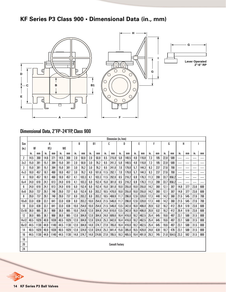# **KF Series P3 Class 900 • Dimensional Data (in., mm)**



### Dimensional Data, 2"FP-24"FP, Class 900

|       |      |      |            |      |           |      |      |       |           |        |      | Dimension (in./mm)     |      |       |      |       |      |     |      |       |                          |     |      |     |
|-------|------|------|------------|------|-----------|------|------|-------|-----------|--------|------|------------------------|------|-------|------|-------|------|-----|------|-------|--------------------------|-----|------|-----|
| Size  |      |      | А          |      |           |      |      | B     | <b>B1</b> |        | C    |                        |      | D     |      | E     |      | F   |      | G     | H                        |     |      |     |
| (in.) | RF   |      | <b>RTJ</b> |      | <b>WE</b> |      |      |       |           |        |      |                        |      |       |      |       |      |     |      |       |                          |     |      |     |
|       | in.  | mm   | in.        | mm   | in.       | mm   | in.  | mm    | in.       | mm     | in.  | mm                     | in.  | mm    | in.  | mm    | in.  | mm  | in.  | mm    | in.                      | mm  | in.  | mm  |
| 2     | 14.5 | 368  | 14.6       | 371  | 14.5      | 368  | 2.0  | 50.8  | 2.0       | 50.8   | 8.5  | 215.9                  | 5.8  | 148.5 | 4.6  | 116.8 | 7.3  | 185 | 22.8 | 580   |                          |     |      |     |
| 3x2   | 15.0 | 381  | 15.1       | 384  | 15.0      | 381  | 2.0  | 50.8  | 3.0       | 76.2   | 9.5  | 241.3                  | 5.8  | 148.5 | 4.6  | 116.8 | 7.3  | 185 | 22.8 | 580   | $\overline{\phantom{0}}$ |     |      |     |
| 3     | 15.0 | 381  | 15.1       | 384  | 15.0      | 381  | 3.0  | 76.2  | 3.0       | 76.2   | 9.5  | 241.0                  | 7.0  | 179.0 | 5.7  | 144.3 | 9.3  | 237 | 27.6 | 700   | $\overline{\phantom{0}}$ |     |      |     |
| 4x3   | 18.0 | 457  | 18.1       | 460  | 18.0      | 457  | 3.0  | 76.2  | 4.0       | 101.6  | 11.5 | 292.1                  | 7.0  | 179.0 | 5.7  | 144.3 | 9.3  | 237 | 27.6 | 700   | $\overline{\phantom{0}}$ |     |      |     |
| 4     | 18.0 | 457  | 18.1       | 460  | 18.0      | 457  | 4.1  | 103.3 | 4.1       | 103.3  | 11.5 | 292.0                  | 8.5  | 216.2 | 6.9  | 176.3 | 11.3 | 288 | 33.7 | 856.2 | $\overline{\phantom{0}}$ |     |      |     |
| 6x4   | 24.0 | 610  | 24.1       | 613  | 24.0      | 610  | 4.1  | 103.3 | 6.0       | 152.4  | 15.0 | 381.0                  | 8.5  | 216.2 | 6.9  | 176.3 | 11.3 | 288 | 33.7 | 856.2 | $\overline{\phantom{0}}$ |     |      |     |
| 6     | 24.0 | 610  | 24.1       | 613  | 24.0      | 610  | 6.0  | 152.4 | 6.0       | 152.4  | 15.0 | 381.0                  | 10.0 | 255.0 | 10.0 | 255.0 | 14.2 | 360 | 12.1 | 307   | 14.8                     | 377 | 23.6 | 600 |
| 8x6   | 29.0 | 737  | 29.1       | 740  | 29.0      | 737  | 6.0  | 152.4 | 8.0       | 203.2  | 18.5 | 470.0                  | 10.0 | 255.0 | 10.0 | 255.0 | 14.2 | 360 | 12.1 | 307   | 14.8                     | 377 | 23.6 | 600 |
| 8     | 29.0 | 737  | 29.1       | 740  | 29.0      | 737  | 8.0  | 203.2 | 8.0       | 203.2  | 18.5 | 469.9                  | 11.7 | 296.0 | 12.6 | 320.0 | 17.3 | 440 | 14.2 | 360   | 21.5                     | 545 | 27.6 | 700 |
| 10x8  | 33.0 | 838  | 33.1       | 841  | 33.0      | 838  | 8.0  | 203.2 | 10.0      | 254.0  | 21.5 | 546.0                  | 11.7 | 296.0 | 12.6 | 320.0 | 17.3 | 440 | 14.2 | 360   | 21.5                     | 545 | 27.6 | 700 |
| 10    | 33.0 | 838  | 33.1       | 841  | 33.0      | 838  | 10.0 | 254.0 | 10.0      | 254.0  | 21.5 | 546.0                  | 13.5 | 342.0 | 16.0 | 406.0 | 20.9 | 532 | 16.2 | 412   | 20.4                     | 518 | 23.6 | 600 |
| 12x10 | 38.0 | 965  | 38.1       | 968  | 38.0      | 965  | 10.0 | 254.0 | 12.0      | 304.8  | 24.0 | 610.0                  | 13.5 | 342.0 | 16.0 | 406.0 | 20.9 | 532 | 16.2 | 412   | 20.4                     | 518 | 23.6 | 600 |
| 12    | 38.0 | 965  | 38.1       | 968  | 38.0      | 965  | 12.0 | 304.8 | 12.0      | 304.8  | 24.0 | 609.6                  | 16.4 | 416.0 | 18.2 | 462.5 | 25.4 | 645 | 19.6 | 497   | 23.1                     | 588 | 31.5 | 800 |
| 14x12 | 40.5 | 1029 | 40.9       | 1038 | 40.5      | 1029 | 12.0 | 304.8 | 12.8      | 324.0  | 25.3 | 642.0                  | 16.4 | 416.0 | 18.2 | 462.5 | 25.4 | 645 | 19.6 | 497   | 23.1                     | 588 | 31.5 | 800 |
| 16x12 | 44.5 | 1130 | 44.9       | 1140 | 44.5      | 1130 | 12.0 | 304.8 | 14.8      | 374.7  | 27.8 | 705.0                  | 16.4 | 416.0 | 18.2 | 462.5 | 25.4 | 645 | 19.6 | 497   | 23.1                     | 588 | 31.5 | 800 |
| 14    | 40.5 | 1029 | 40.9       | 1038 | 40.5      | 1029 | 12.8 | 324.0 | 12.8      | 324.0  | 25.3 | 641.4                  | 15.6 | 395.0 | 16.5 | 420.0 | 24.8 | 630 | 18.7 | 476   | 23.1                     | 588 | 31.5 | 800 |
| 16    | 44.5 | 1130 | 44.9       | 1140 | 44.5      | 1130 | 14.8 | 374.7 | 14.8      | 374.65 | 27.8 | 705.5                  | 18.3 | 465.5 | 19.4 | 491.9 | 29.3 | 745 | 21.8 | 554.5 | 23.3                     | 592 | 31.5 | 800 |
| 18    |      |      |            |      |           |      |      |       |           |        |      |                        |      |       |      |       |      |     |      |       |                          |     |      |     |
| 20    |      |      |            |      |           |      |      |       |           |        |      | <b>Consult Factory</b> |      |       |      |       |      |     |      |       |                          |     |      |     |
| 24    |      |      |            |      |           |      |      |       |           |        |      |                        |      |       |      |       |      |     |      |       |                          |     |      |     |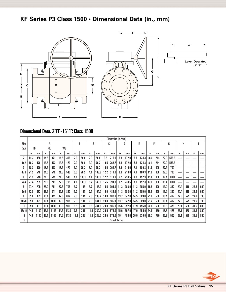# **KF Series P3 Class 1500 • Dimensional Data (in., mm)**



# Dimensional Data, 2"FP-16"FP, Class 1500

|                |      |      |            |      |           |      |      |       |           |       |      | Dimension (in./mm)     |      |       |      |       |      |     |      |       |      |     |      |     |
|----------------|------|------|------------|------|-----------|------|------|-------|-----------|-------|------|------------------------|------|-------|------|-------|------|-----|------|-------|------|-----|------|-----|
| Size           |      |      |            | А    |           |      |      | B     | <b>B1</b> |       |      | ſ.                     |      | D     |      | F     |      | F   |      | G     | H    |     |      |     |
| (in.)          | RF   |      | <b>RTJ</b> |      | <b>WE</b> |      |      |       |           |       |      |                        |      |       |      |       |      |     |      |       |      |     |      |     |
|                | In.  | mm   | in.        | mm   | in.       | mm   | in.  | mm    | in.       | mm    | in.  | mm                     | in.  | mm    | in.  | mm    | in.  | mm  | In.  | mm    | in.  | mm  | in.  | mm  |
|                | 14.3 | 368  | 14.6       | 371  | 14.5      | 368  | 2.0  | 50.8  | 2.0       | 50.8  | 8.5  | 215.9                  | 6.8  | 172.0 | 5.3  | 134.3 | 8.4  | 214 | 22.0 | 558.8 |      |     |      |     |
| 3x2            | 18.3 | 470  | 18.6       | 473  | 18.5      | 470  | 2.0  | 50.8  | 3.0       | 76.2  | 10.5 | 266.7                  | 6.8  | 172.0 | 5.3  | 134.3 | 8.4  | 214 | 22.0 | 558.8 | --   |     |      |     |
|                | 18.3 | 470  | 18.6       | 473  | 18.5      | 470  | 3.0  | 76.2  | 3.0       | 76.2  | 10.5 | 266.7                  | 8.6  | 219.0 | 7.1  | 180.3 | 11.8 | 300 | 27.6 | 700   | __   |     |      |     |
| 4x3            | 21.2 | 546  | 21.6       | 549  | 21.5      | 546  | 3.0  | 76.2  | 4.1       | 103.3 | 12.2 | 311.0                  | 8.6  | 219.0 | 7.1  | 180.3 | 11.8 | 300 | 27.6 | 700   |      |     |      |     |
| 4              | 21.2 | 546  | 21.6       | 549  | 21.5      | 546  | 4.1  | 103.3 | 4.1       | 103.3 | 12.2 | 311.0                  | 9.2  | 234.5 | 7.8  | 197.3 | 13.0 | 330 | 39.4 | 1000  |      |     |      |     |
| 6x4            | 27.4 | 705  | 28.0       | 711  | 27.8      | 705  | 4.1  | 103.3 | 5.7       | 146.0 | 15.5 | 394.0                  | 9.2  | 234.5 | 7.8  | 197.3 | 13.0 | 330 | 39.4 | 1000  |      |     |      |     |
| ĥ              | 27.4 | 705  | 28.0       | 711  | 27.8      | 705  | 5.7  | 146   | 5.7       | 146.0 | 15.5 | 394.0                  | 11.3 | 288.0 | 11.2 | 285.0 | 16.5 | 420 | 13.9 | 352   | 20.4 | 518 | 23.6 | 600 |
| 8x6            | 32.8 | 832  | 33.1       | 841  | 32.8      | 832  | 5.7  | 146   | 7.6       | 194.0 | 19.0 | 483.0                  | 11.3 | 288.0 | 11.2 | 285.0 | 16.5 | 420 | 13.9 | 352   | 20.4 | 518 | 23.6 | 600 |
| 8              | 32.8 | 832  | 33.1       | 841  | 32.8      | 832  | 7.6  | 194   | 7.6       | 193.7 | 19.0 | 482.6                  | 13.7 | 347.0 | 14.5 | 369.0 | 21.2 | 538 | 16.4 | 417   | 22.6 | 575 | 27.6 | 700 |
| 10x8           | 39.0 | 991  | 39.4       | 1000 | 39.0      | 991  | 7.6  | 194   | 9.5       | 241.0 | 23.0 | 585.0                  | 13.7 | 347.0 | 14.5 | 369.0 | 21.2 | 538 | 16.4 | 417   | 22.6 | 575 | 27.6 | 700 |
| 10             | 39.0 | 991  | 39.4       | 1000 | 39.0      | 991  | 9.5  | 241   | 9.5       | 241.3 | 23.0 | 585.0                  | 15.6 | 397.0 | 17.9 | 455.0 | 24.8 | 630 | 18.8 | 478   | 23.1 | 588 | 31.5 | 800 |
| $12 \times 10$ | 44.5 | 1130 | 45.1       | 1146 | 44.5      | 1130 | 9.5  | 241   | 11.4      | 289.0 | 26.5 | 673.0                  | 15.6 | 397.0 | 17.9 | 455.0 | 24.8 | 630 | 18.8 | 478   | 23.1 | 588 | 31.5 | 800 |
| 12             | 44.5 | 1130 | 45.1       | 1146 | 44.5      | 1130 | 11.4 | 289   | 11.4      | 289.0 | 26.5 | 673.0                  | 19.1 | 486.0 | 20.9 | 530.0 | 30.7 | 780 | 22.3 | 567   | 23.1 | 588 | 31.5 | 800 |
| 16             |      |      |            |      |           |      |      |       |           |       |      | <b>Consult factory</b> |      |       |      |       |      |     |      |       |      |     |      |     |

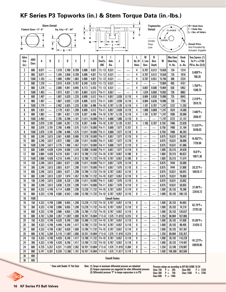# **KF Series P3 Topworks (in.) & Stem Torque Data (in.-lbs.)**

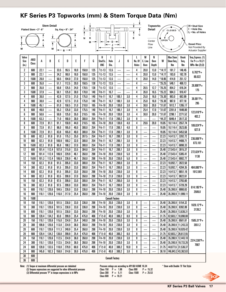# **KF Series P3 Topworks (mm) & Stem Torque Data (Nm)**

|          |                       |                | <b>Stem Detail</b> |                |                    |              |                |            |                          |                        |                |            |             |              | <b>Topworks</b>          |                      |                              |                    | H . Stud Size                         |
|----------|-----------------------|----------------|--------------------|----------------|--------------------|--------------|----------------|------------|--------------------------|------------------------|----------------|------------|-------------|--------------|--------------------------|----------------------|------------------------------|--------------------|---------------------------------------|
|          | Flatted Stem . 2"- 6" |                |                    |                | Sq. Key . 8" - 24" |              |                |            |                          |                        |                |            |             |              | <b>Detail</b>            | O'                   | CLOSED                       |                    | • Hole Dia.<br>L<br>• No. of Holes    |
|          |                       |                |                    |                |                    |              | N              | Κ          |                          |                        |                |            | ↑<br>C<br>E |              |                          |                      |                              |                    |                                       |
|          |                       | Α              |                    |                |                    | A            |                |            |                          |                        |                |            |             |              | Center                   | OPEN                 |                              |                    |                                       |
|          |                       |                | ↟                  |                |                    |              |                |            |                          | G                      |                |            |             |              | Flow<br>Line             |                      |                              |                    | <b>Dowel Pins:</b><br>Not Provided By |
| W        |                       |                | W                  |                | B                  |              |                |            |                          |                        |                |            |             |              |                          |                      |                              |                    | <b>Actuator Supplier</b>              |
| Valve    |                       |                |                    |                |                    |              |                |            | H                        |                        |                |            | L           | M            | N                        |                      | <b>Max Stem</b>              | <b>Break</b>       | Torq. Express. (1)                    |
| Size     | ANSI                  | A              | B                  | C              | D                  | E            | F              | G          | Stud Sz.                 | Hole                   | J              | K          | No. Of      | C. Line      | Bore                     | W                    | Sheer Torq.                  | Torq.              | For $P = 10.21$                       |
| (in.)    | Class                 |                |                    |                |                    |              |                |            | UNC                      | Dia.                   |                |            | Holes       | Bore         | Depth                    |                      | Nm                           | Nm                 | MPa-Nm (2)(3)                         |
| 2        | 600                   | 22.1           |                    | 33.5           | 95.5               | 18.0         | 150.0          | 125        | $1/2 - 13$               | 13.5                   |                |            | 4           | 20.0         | 13.0                     | *14.17               | 181.7                        | 148.45             | $6.702^{*}P +$                        |
| 2        | 900                   | 22.1           |                    | 34.2           | 98.0               | 18.0         | 150.0          | 125        | $1/2 - 13$               | 13.5                   |                |            | 4           | 20.0         | 13.0                     | $*14.17$             | 183.0                        | 182.70             | 80.022                                |
| 2        | 1500                  | 28.0           |                    | 50.5           | 104.0              | 27.0         | 150.0          | 125        | $1/2 - 13$               | 13.5                   |                |            | 4           | 20.0         | 14.0                     | $*18.95$             | 414.9                        | 251.12             |                                       |
| 3        | 600                   | 35.0           |                    | 51.1           | 112.5              | 20.0         | 158.5          | 138        | $1/2 - 13$               | 13.5                   |                |            | 4           |              |                          | $*25.25$             | 549.1                        | 469.13             | 28.808*P+                             |
| 3        | 900                   | 35.0           |                    | 50.8           | 125.5              | 24.0         | 170.5          | 138        | $1/2 - 13$               | 13.5                   |                |            | 4           | 20.5         | 12.7                     | *25.25               | 854.2                        | 616.34             | 175                                   |
| 3        | 1500                  | 37.9           |                    | 50.1           | 125.0              | 30.0         | 170.0          | 140        | $5/8 - 11$               | 16.7                   |                |            | 4           | 26.0         | 16.5                     | $*25.22$             | 984.3                        | 910.47             |                                       |
| 4        | 600                   | 38.0           |                    | 42.9           | 127.5              | 31.0         | 175.0          | 140        | $5/8 - 11$               | 16.7                   | 100.1          | 3.0        | 4           | 25.0         | 16.0                     | $*25.30$             | 983.0                        | 682.99             | $38.001*P +$                          |
| 4<br>4   | 900<br>1500           | 38.0<br>45.1   |                    | 42.9           | 127.5<br>150.5     | 31.0<br>31.0 | 175.0          | 140<br>165 | $5/8 - 11$<br>$3/4 - 10$ | 16.7                   | 100.1          | 3.0<br>3.0 | 4<br>4      | 25.0         | 16.0<br>20.0             | $*25.30$<br>$*31.67$ | 987.0<br>1812.7              | 877.18             | 295                                   |
| 6        | 600                   | 49.0           |                    | 61.0<br>55.3   | 125.0              | 33.0         | 210.0<br>175.5 | 140        | $5/8 - 11$               | 20.0<br>16.7           | 130.0<br>100.1 | 3.0        | 4           | 30.0<br>25.4 | 17.0                     | $*31.67$             | 2201.8                       | 1265.17<br>1648.00 |                                       |
| 6        | 900                   | 50.6           |                    | 50.6           | 125.0              | 35.0         | 210.5          | 165        | $3/4 - 10$               | 20.0                   | 130.0          | 3.0        | 4           | 30.0         | 20.0                     | $*31.67$             | 2298.1                       | 2271.52            | $122.018*P+$                          |
| 6        | 1500                  | 63.3           |                    | 71.0           | 160.0              | 30.0         | 300.0          | 254        | $5/8 - 11$               | 17.0                   | 200.2          | 3.0        | 8           |              |                          | $*44.37$             | 5046.4                       | 3517.32            | 402.2                                 |
| 8        | 600                   | 72.9           | 81.1               | 91.1           | 159.9              | 44.0         | 210.5          | 165        | $3/4 - 10$               | 20.0                   | 130.0          | 4.0        | 4           | 29.6         | 20.0                     | 19.05                | 10,114.4                     | 2557.74            |                                       |
| 8        | 900                   | 72.9           | 81.1               | 96.0           | 165.0              | 40.0         | 300.0          | 254        | $5/8 - 11$               | 17.0                   | 200.1          | 4.0        | 8           |              |                          | 19.05                | 10,114.4                     | 3523.65            | 189.024*P+                            |
| 8        | 1500                  | 72.9           | 81.1               | 83.8           | 165.0              | 40.0         | 300.0          | 254        | $5/8 - 11$               | 17.0                   | 200.1          | 3.0        | 8           |              |                          | 19.05                | 10,114.4                     | 5453.58            | 627.8                                 |
| 10       | 600                   | 82.3           | 91.8               | 91.0           | 175.3              | 25.0         | 287.5          | 254        | $5/8 - 11$               | 16.7                   | 200.1          | 3.0        | 8           |              |                          | 22.23                | 14,413.7                     | 3282.72            |                                       |
| 10       | 900                   | 82.3           | 91.9               | 100.9          | 180.2              | 32.0         | 300.0          | 254        | $5/8 - 11$               | 16.7                   | 200.1          | 3.0        | 8           |              |                          | 22.23                | 14,413.7                     | 4488.71            | 236.006*P+                            |
| 10       | 1500                  | 82.3           | 91.9               | 95.9           | 190.2              | 37.0         | 300.0          | 254        | $5/8 - 11$               | 17.0                   | 200.1          | 3.0        | 8           |              |                          | 22.23                | 14,413.7                     | 6898.33            | 873.101                               |
| 12       | 600                   | 101.4          | 112.4              | 107.8          | 215.9              | 33.5         | 304.8          | 254        | $5/8 - 11$               | 16.7                   | 200.1          | 3.0        | 8           |              |                          | 25.40                | 27,543.4                     | 3915.37            |                                       |
| 12       | 900                   | 101.4          | 112.4              | 106.9          | 229.9              | 46.1         | 350.0          | 298        | $3/4 - 10$               | 20.0                   | 230.0          | 5.0        | 8           |              |                          | 25.40                | 27,543.4                     | 5305.41            | 272.024*P+                            |
| 12       | 1500                  | 101.3          | 112.4              | 106.9          | 239.9              | 46.1         | 350.0          | 298        | $3/4 - 10$               | 20.0                   | 230.0          | 5.0        | 8           |              |                          | 25.40                | 27,543.4                     | 8082.77            | 1138                                  |
| 14       | 150                   | 82.3           | 91.8               | 91.5           | 205.0              | 33.0         | 300.0          | 254        | $5/8 - 11$               | 16.7                   | 200.0          | 3.0        | 8           |              |                          | 22.23                | 10,092.7                     | 2822.50            |                                       |
| 14       | 300                   | 82.3           | 91.8               | 91.5           | 205.0              | 33.0         | 300.0          | 254        | $5/8 - 11$               | 16.7                   | 200.0          | 3.0        | 8           |              |                          | 22.23                | 10,092.7                     | 4284.35            | 464.080*P+                            |
| 14       | 600                   | 82.3           | 91.8               | 91.5           | 205.0              | 33.0         | 350.0          | 298        | $3/4 - 10$               | 20.0                   | 230.0          | 3.0        | 8           |              |                          | 22.23                | 14,413.7                     | 6651.16            | 1912.901                              |
| 14       | 900                   | 82.3           | 91.8               | 83.5           | 200.0              | 37.0         | 350.0          | 298        | $3/4 - 10$               | 21.0                   | 230.0          | 3.0        | 8           |              |                          | 22.23                | 14,413.7                     | 9022.61            |                                       |
| 16       | 150                   | 82.3           | 91.8               | 97.5           | 209.0              | 33.0         | 300.0          | 254        | $5/8 - 11$               | 16.7                   | 200.0          | 3.0        | 8           |              |                          | 22.23                | 14,413.7                     | 3793.60            |                                       |
| 16       | 300                   | 82.3           | 91.8               | 97.5           | 209.0              | 33.0         | 300.0          | 254        | $5/8 - 11$               | 16.7                   | 200.0          | 3.0        | 8           |              |                          | 22.23                | 14,413.7                     | 5728.29            | 614.185*P+                            |
| 16       | 600                   | 110.1          | 120.6              | 104.5          | 226.0              | 33.0         | 336.0          | 298        | $3/4 - 10$               | 20.0                   | 230.0          | 3.0        | 8           |              |                          | 25.40                | $35,390.9$ 8860.63           |                    | 2589.8                                |
| 16       | 900                   | 110.1          | 120.6              | 116.0          | 217.0              | 25.4         | 350.0          | 298        | $3/4 - 10$               | 20.0                   | 230.0          | 3.0        | 8           |              |                          | 25.40                | 35,390.9 11,999.11           |                    |                                       |
| 16       | 1500                  |                |                    |                |                    |              |                |            |                          | <b>Consult Factory</b> |                |            |             |              |                          |                      |                              |                    |                                       |
| 18<br>18 | 150<br>300            | 110.1<br>110.1 | 120.6<br>120.6     | 101.5<br>101.5 | 230.0<br>230.0     | 33.0<br>33.0 | 336.0<br>336.0 | 298<br>298 | $3/4 - 10$<br>$3/4 - 10$ | $20.0\,$<br>20.0       | 230.0<br>230.0 | 3.0<br>3.0 | 8<br>8      |              |                          | 25.40<br>25.40       | 35,390.9 5154.32<br>35,390.9 | 8392.89            | $1028.12^*P +$                        |
| 18       | 600                   | 110.1          | 120.6              | 101.5          | 230.0              | 33.0         | 350.0          | 298        | $3/4 - 10$               |                        | 230.0          | 3.0        | 8           |              |                          | 25.40                | 35,390.9 13,636.31           |                    | 3139.2                                |
| 18       | 900                   | 120.4          | 134.2              | 83.0           | 299.9              | 25.4         | 475.0          | 406        | $11/2 - 8$               | 20.0<br>40.0           | 300.2          | 8.0        | 8           |              | $\overline{\phantom{0}}$ | 31.75                | 82,683.2 18,890.00           |                    |                                       |
| $20\,$   | 150                   | 110.1          | 120.6              | 115.0          | 234.9              | 25.4         | 340.0          | 298        | $3/4 - 10$               | 20.0                   | 230.0          | 3.0        | 8           |              |                          | 25.40                | $35,390.9$ 6501.61           |                    | $1505.31*P+$                          |
| 20       | 300                   | 109.8          | 120.6              | 113.0          | 234.9              | 36.0         | 350.0          | 298        | $3/4 - 10$               | 20.0                   | 230.0          | 3.0        | 8           |              |                          | 25.40                | 35,390.9 11,243.33           |                    | 3551.2                                |
| 20       | 600                   | 110.1          | 120.6              | 111.3          | 249.9              | 25.4         | 350.0          | 298        | $3/4 - 10$               | 20.0                   | 230.0          | 3.0        | 8           |              |                          | 25.40                | 35,390.9 18,920.42           |                    |                                       |
| $20\,$   | 900                   | 120.4          | 134.2              | 130.0          | 299.9              | 25.4         | 475.0          | 406        | $11/2 - 8$               | 40.0                   | 300.2          | 8.0        | 8           |              |                          | 31.75                | 82,683.2 26,612.55           |                    |                                       |
| 24       | 150                   | 110.1          | 120.6              | 112.5          | 234.9              | 36.0         | 350.0          | 298        | $3/4 - 10$               | 20.0                   | 230.0          | 3.0        | 8           |              |                          | 25.40                | 35,390.9 12,443.10           |                    |                                       |
| 24       | 300                   | 110.1          | 120.6              | 112.5          | 234.9              | 36.0         | 350.0          | 298        | $3/4 - 10$               | 20.0                   | 230.0          | 3.0        | 8           |              |                          | 25.40                | 35,390.9 19,733.26           |                    | 2314.336*P+                           |
| 24       | 600                   | 120.0          | 133.5              | 110.0          | 279.9              | 60.0         | 475.0          | 406        | $11/2 - 8$               | 40.0                   | 300.2          | 10.0       | 8           |              |                          | 31.75                | 44,877.6 31,536.37           |                    | 7907                                  |
| 24       | 900                   | 145.8          | 162.3              | 159.0          | 314.6              | 30.0         | 475.0          | 406        | $11/2 - 8$               | 40.0                   | 300.2          | 3.0        | 8           |              |                          | 38.10                | 146,843.2 43,362.63          |                    |                                       |
| $30\,$   | 600                   |                |                    |                |                    |              |                |            |                          |                        |                |            |             |              |                          |                      |                              |                    |                                       |
| 36       | 600                   |                |                    |                |                    |              |                |            |                          | <b>Consult Factory</b> |                |            |             |              |                          |                      |                              |                    |                                       |

Note: (1) Torque at maximum differential pressure are tabulated

(2) Torques expressions are suggested for other differential pressure (3) Differential pressure "P" in torque expressions is in MPa

Pressure ratings are according to API 6D/ASME 16.34  $Class 150 P = 1.96 Class 900 P = 15.32$  $Class 300 P = 5.11 Class 1500 P = 25.53$ Class 300  $P = 5.11$ <br>Class 600  $P = 10.21$ 

\* Stem with Double 'D' Flat Style

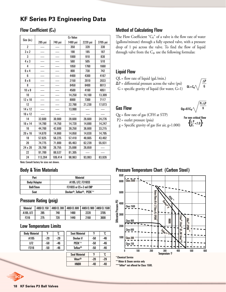# **KF Series P3 Engineering Data**

#### Flow Coefficient (C<sub>v</sub>)

|                |         |         | <b>Cv Value</b> |          |          |
|----------------|---------|---------|-----------------|----------|----------|
| Size (in.)     | 285 psi | 740 psi | 1480 psi        | 2220 psi | 3705 psi |
| $\overline{2}$ |         |         | 350             | 320      | 330      |
| 3x2            |         |         | 190             | 185      | 187      |
| 3              |         |         | 1000            | 910      | 830      |
| $4 \times 3$   |         |         | 560             | 505      | 510      |
| 4              |         |         | 1850            | 1760     | 1660     |
| 6x4            |         |         | 800             | 730      | 742      |
| 6              |         |         | 4400            | 4300     | 4167     |
| $8 \times 6$   |         |         | 2150            | 2010     | 2033     |
| 8              |         |         | 8450            | 8400     | 8013     |
| $10 \times 8$  |         |         | 4500            | 4160     | 4051     |
| 10             |         |         | 14.250          | 14,160   | 13.309   |
| 12 x 10        |         |         | 8000            | 7300     | 7117     |
| 12             |         |         | 22.790          | 21,230   | 17.073   |
| 14 x 12        |         |         | 13,990          |          |          |
| 16 x 12        |         |         |                 |          |          |
| 14             | 32,600  | 30,900  | 28,600          | 26,600   | 24,276   |
| 16 x 14        | 14,780  | 14,750  | 14,720          | 14,690   | 14.247   |
| 16             | 44.700  | 42,600  | 39,250          | 36,600   | 33,215   |
| 20 x 16        | 14,870  | 14,860  | 14,850          | 14,830   | 14,795   |
| 18             | 57.825  | 56,225  | 57.410          | 48.665   | 43,402   |
| 20             | 74,775  | 71,800  | 65.463          | 62,239   | 55,931   |
| 24 x 20        | 26,768  | 26,755  | 25,698          | 26,659   |          |
| 22             | 91,789  | 88.537  | 81,305          |          |          |
| 24             | 113,284 | 109,414 | 98,963          | 93,993   | 83,926   |

#### Method of Calculating Flow

The Flow Coefficient " $C_V$ " of a valve is the flow rate of water (gallons/minute) through a fully opened valve, with a pressure drop of 1 psi across the valve. To find the flow of liquid through valve from the  $C_v$ , use the following formulas:

#### Liquid Flow

#### QL= flow rate of liquid (gal./min.)

 $\Delta P$  = differential pressure across the valve (psi)

 $G =$  specific gravity of liquid (for water,  $G=1$ )

 $0$ L $\Delta P$  $\overline{\mathsf{G}}$ 

#### Gas Flow

- Qg = flow rate of gas (CFH at STP)
- P2 = outlet pressure (psia)
- $g =$  Specific gravity of gas (for air,  $g=1.000$ )

 $Qq=61C$  $P_2\Delta P$ g

> For non-critical flow  $\left\{\frac{\Delta P}{P_2}\right. < 1.0\right\}$

#### Note: Consult factory for sizes not shown.

#### Body & Trim Materials

| Part             | Material                       |
|------------------|--------------------------------|
| Body/Adapter     | A105, LF2, F316SS              |
| <b>Ball/Stem</b> | $F316SS$ or $CS + 3$ mil $ENP$ |
| Seat             | Devlon®, Teflon®, PEEK™        |

#### Pressure Rating (psig)

| <b>Material</b> | <b>ANSI CL 150</b> | ANSI CL 300 L | ANSI CL 600 |      | ANSI CL 900   ANSI CL 1500 |
|-----------------|--------------------|---------------|-------------|------|----------------------------|
| A105. LF2       | 285                | 740           | 1480        | 2220 | 3705                       |
| F316            | 275                | 720           | 1440        | 2160 | 3600                       |

#### Low Temperature Limits

| <b>Body Material</b> | °Ε  | ໍໃ  | <b>Seat Material</b> |     | ໍ່ເ |
|----------------------|-----|-----|----------------------|-----|-----|
| A105                 | -20 | -29 | Devlon V             | -50 | -46 |
| LF2                  | -50 | -46 | <b>PFFKTM</b>        | -50 | -46 |
| F316                 | -50 | -46 | Teflon <sup>®</sup>  | -50 | -46 |
|                      |     |     |                      |     |     |
|                      |     |     | <b>Seal Material</b> | °Γ  | ືເ  |

 $Viton<sup>®</sup>$   $-20$   $-29$ HNBR | -40 | -40

| 15 | S <sub>1</sub> |  |
|----|----------------|--|
| 95 |                |  |
| nn |                |  |

Pressure Temperature Chart (Carbon Steel )



\* Chemical Service

\*\* Water & Steam service only \*\*\* Teflon® not offered for Class 1500.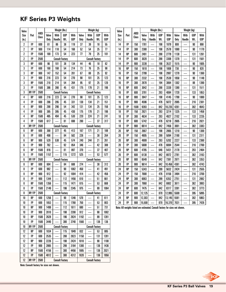# **KF Series P3 Weights**

| Valve            |           |       | Weight (lbs.)          |                          |            | Weight (kg)            |       |                          |            | Valve      |       |           | Weight (lbs.)            |        |                          |            | Weight (kg)                                                                  |       |                          |            |            |
|------------------|-----------|-------|------------------------|--------------------------|------------|------------------------|-------|--------------------------|------------|------------|-------|-----------|--------------------------|--------|--------------------------|------------|------------------------------------------------------------------------------|-------|--------------------------|------------|------------|
| Size             | Port      | ANSI  | Valve                  | With                     | <b>GOP</b> | With                   | Valve | With                     | <b>GOP</b> | With       | Size  | Port      | <b>ANSI</b>              | Valve  | With                     | <b>GOP</b> | With                                                                         | Valve | With                     | <b>GOP</b> | With       |
| (in.)            |           | Class | Only                   | Handle                   | Wt.        | <b>GOP</b>             | Only  | Handle                   | Wt.        | <b>GOP</b> | (in.) |           | Class                    | Only   | Handle                   | Wt.        | <b>GOP</b>                                                                   | Only  | Handle                   | Wt.        | <b>GOP</b> |
| $\boldsymbol{2}$ | <b>FP</b> | 600   | 81                     | 86                       | 38         | 119                    | 37    | 39                       | 18         | 55         | 14    | <b>FP</b> | 150                      | 1781   | $\overline{\phantom{0}}$ | 198        | 1979                                                                         | 808   |                          | 90         | 898        |
| 2                | FP        | 900   | 114                    | 118                      | 54         | 168                    | 52    | 54                       | 25         | 77         | 14    | <b>FP</b> | 300                      | 2380   |                          | 198        | 2578                                                                         | 1080  | —                        | 90         | 1170       |
| $\mathbf{2}$     | FP        | 1500  | 169                    | 173                      | 54         | 223                    | 77    | 79                       | 25         | 101        | 14    | <b>RP</b> | 600                      | 2491   | $\overline{\phantom{0}}$ | 288        | 2779                                                                         | 1130  |                          | 131        | 1261       |
| $\boldsymbol{2}$ | FP        | 2500  |                        | <b>Consult Factory</b>   |            |                        |       | <b>Consult Factory</b>   |            |            | 14    | FP        | 600                      | 3020   |                          | 288        | 3308                                                                         | 1370  |                          | 131        | 1501       |
| 3                | <b>RP</b> | 600   | 96                     | 101                      | 38         | 134                    | 44    | 46                       | 18         | 62         | 14    | FP        | 900                      | 3339   |                          | 198        | 3537                                                                         | 1515  |                          | 90         | 1605       |
| 3                | <b>FP</b> | 600   | 160                    | 168                      | 54         | 214                    | 73    | 76                       | 25         | 98         | 16    | <b>RP</b> | 150                      | 1610   | —<br>—                   | 198        | 1808                                                                         | 730   |                          | 90         | 820        |
| 3                | RP        | 900   | 147                    | 152                      | 54         | 201                    | 67    | 69                       | 25         | 92         | 16    | FP        | 150                      | 2799   |                          | 198        | 2997                                                                         | 1270  |                          | 90         | 1360       |
| 3                | <b>FP</b> | 900   | 216                    | 223                      | 54         | 270                    | 98    | 101                      | 25         | 123        | 16    | <b>RP</b> | 300                      | 2332   |                          | 198        | 2530                                                                         | 1058  |                          | 90         | 1148       |
| 3                | <b>RP</b> | 1500  | 210                    | 214                      | 54         | 264                    | 95    | 97                       | 25         | 120        | 16    | FP        | 300                      | 2870   | $\overline{\phantom{0}}$ | 194        | 3064                                                                         | 1302  |                          | 88         | 1390       |
| 3                | FP        | 1500  | 386                    | 390                      | 45         | 431                    | 175   | 179                      | 21         | 196        | 16    | <b>RP</b> | 600                      | 3042   | $\frac{1}{2}$            | 288        | 3330                                                                         | 1380  |                          | 131        | 1511       |
| 3                | RP/FP     | 2500  | <b>Consult Factory</b> |                          |            | <b>Consult Factory</b> |       |                          | 16         | FP         | 600   | 3791      | $\overline{\phantom{0}}$ | 293    | 4084                     | 1720       |                                                                              | 133   | 1853                     |            |            |
| 4                | <b>RP</b> | 600   | 216                    | 223                      | 54         | 270                    | 98    | 101                      | 25         | 123        | 16    | <b>RP</b> | 900                      | 3947   |                          | 198        | 4145                                                                         | 1790  |                          | 90         | 1880       |
| 4                | FP        | 600   | 286                    | 295                      | 45         | 331                    | 130   | 134                      | 21         | 151        | 16    | FP        | 900                      | 4596   |                          | 476        | 5072                                                                         | 2085  |                          | 216        | 2301       |
| 4                | <b>RP</b> | 900   | 288                    | 296                      | 54         | 342                    | 131   | 134                      | 25         | 156        | 16    | <b>FP</b> | 1500                     | 9393   | $\overline{\phantom{0}}$ | 842        | 10,235                                                                       | 4261  |                          | 382        | 4643       |
| 4                | FP        | 900   | 385                    | 395                      | 45         | 430                    | 175   | 179                      | 21         | 196        | 18    | FP        | 150                      | 2921   | $\frac{1}{2}$            | 293        | 3214                                                                         | 1325  |                          | 133        | 1458       |
| 4                | <b>RP</b> | 1500  | 485                    | 494                      | 45         | 530                    | 220   | 224                      | 21         | 241        | 18    | FP        | 300                      | 4634   |                          | 293        | 4927                                                                         | 2102  |                          | 133        | 2235       |
| 4                | <b>FP</b> | 1500  | 617                    |                          | 81         | 698                    | 280   |                          | 37         | 317        | 18    | <b>FP</b> | 600                      | 5742   |                          | 476        | 6218                                                                         | 2605  |                          | 216        | 2821       |
| 4                | RP/FP     | 2500  |                        | <b>Consult Factory</b>   |            |                        |       | <b>Consult Factory</b>   |            |            | 18    | FP        | 900                      | 6614   |                          | 842        | 7456                                                                         | 3001  |                          | 382        | 3383       |
| 6                | RP        | 600   | 368                    | 377                      | 45         | 413                    | 167   | 171                      | 21         | 188        | 20    | RP        | 150                      | 2667   |                          | 198        | 2865                                                                         | 1210  |                          | 90         | 1300       |
| 6                | FP        | 600   | 498                    | $\overline{\phantom{0}}$ | 84         | 582                    | 226   | $\overline{\phantom{0}}$ | 38         | 264        | 20    | FP        | 150                      | 4805   |                          | 289        | 5094                                                                         | 2180  |                          | 131        | 2311       |
| 6                | <b>RP</b> | 900   | 529                    | 538                      | 45         | 574                    | 240   | 244                      | 21         | 261        | 20    | <b>RP</b> | 300                      | 4909   |                          | 293        | 5202                                                                         | 2227  |                          | 133        | 2360       |
| 6                | FP        | 900   | 762                    |                          | 92         | 854                    | 346   |                          | 42         | 388        | 20    | FP        | 300                      | 5608   |                          | 476        | 6084                                                                         | 2544  |                          | 216        | 2760       |
| 6                | <b>RP</b> | 1500  | 816                    |                          | 81         | 897                    | 370   |                          | 37         | 407        | 20    | <b>RP</b> | 600                      | 4785   |                          | 646        | 5431                                                                         | 2170  |                          | 293        | 2464       |
| 6                | FP        | 1500  | 1157                   |                          | 115        | 1272                   | 525   |                          | 53         | 577        | 20    | FP        | 600                      | 6130   | —                        | 842        | 6972                                                                         | 2781  |                          | 382        | 3163       |
| 6                | RP/FP     | 2500  |                        | <b>Consult Factory</b>   |            |                        |       | <b>Consult Factory</b>   |            |            | 20    | <b>RP</b> | 900                      | 6549   |                          | 842        | 7391                                                                         | 2971  |                          | 382        | 3353       |
| 8                | <b>RP</b> | 600   | 604                    |                          | 84         | 688                    | 274   |                          | 38         | 312        | 20    | FP        | 900                      | 9614   |                          | 842        | 10,456                                                                       | 4361  |                          | 382        | 4743       |
| 8                | <b>FP</b> | 600   | 992                    | $\overline{\phantom{0}}$ | 90         | 1082                   | 450   | $\overline{\phantom{0}}$ | 41         | 491        | 24    | <b>RP</b> | 150                      | 5343   | $\overline{\phantom{0}}$ | 289        | 5632                                                                         | 2424  | $\overline{\phantom{0}}$ | 131        | 2555       |
| 8                | <b>RP</b> | 900   | 912                    |                          | 92         | 1004                   | 414   | $\overline{\phantom{0}}$ | 42         | 456        | 24    | FP        | 150                      | 7680   |                          | 476        | 8156                                                                         | 3484  |                          | 216        | 3700       |
| 8                | <b>FP</b> | 900   | 1344                   |                          | 112        | 1456                   | 610   |                          | 51         | 661        | 24    | <b>RP</b> | 300                      | 6063   | $\overline{\phantom{0}}$ | 289        | 6352                                                                         | 2751  |                          | 131        | 2882       |
| 8                | <b>RP</b> | 1500  | 1356                   |                          | 115        | 1471                   | 615   |                          | 53         | 668        | 24    | FP        | 300                      | 7960   |                          | 842        | 8802                                                                         | 3611  |                          | 382        | 3993       |
| 8                | FP        | 1500  | 2149                   |                          | 196        | 2345                   | 975   |                          | 89         | 1064       | 24    | <b>RP</b> | 600                      | 7475   | $\overline{\phantom{0}}$ | 842        | 8317                                                                         | 3391  |                          | 382        | 3773       |
| 8                | RP/FP     | 2500  |                        | <b>Consult Factory</b>   |            |                        |       | <b>Consult Factory</b>   |            |            | 24    | FP        | 600                      | 12,125 | $\overline{\phantom{0}}$ | 870        | 12,995 5500                                                                  |       |                          | 395        | 5895       |
| 10               | RP        | 600   | 1256                   |                          | 90         | 1346                   | 570   |                          | 41         | 611        | 24    | <b>RP</b> | 900                      | 12,303 |                          | 842        | $13,145$ 5581                                                                |       |                          | 382        | 5963       |
| 10               | FP        | 600   | 1653                   | $\overline{\phantom{0}}$ | 115        | 1768                   | 750   | $\overline{\phantom{0}}$ | 53         | 803        | 24    | FP        | 900                      | 15,500 | $\overline{\phantom{m}}$ | 870        | 16,370 7031                                                                  |       |                          | 395        | 7426       |
| $10\,$           | <b>RP</b> | 900   | 1499                   |                          | 112        | 1611                   | 680   | $\overline{\phantom{0}}$ | 51         | 731        |       |           |                          |        |                          |            | Note: All weights listed are estimated. Consult factory for sizes not shown. |       |                          |            |            |
| 10               | FP        | 900   | 2010                   | —<br>—                   | 198        | 2208                   | 912   |                          | 90         | 1002       |       |           |                          |        |                          |            |                                                                              |       |                          |            |            |
| 10               | RP        | 1500  | 2628                   | $\overline{\phantom{0}}$ | 196        | 2824                   | 1192  |                          | 89         | 1281       |       |           |                          |        |                          |            |                                                                              |       |                          |            |            |
| 10               | FP        | 1500  | 3440                   |                          | 300        | 3740                   | 1560  | $\equiv$                 | 136        | 136        |       |           |                          |        |                          |            |                                                                              |       |                          |            |            |
| 10               | RP/FP     | 2500  |                        | <b>Consult Factory</b>   |            |                        |       | <b>Consult Factory</b>   |            |            |       |           |                          |        |                          |            |                                                                              |       |                          |            |            |
| 12               | <b>RP</b> | 600   | 1834                   |                          | 115        | 1949                   | 832   |                          | 53         | 885        |       |           |                          |        |                          |            |                                                                              |       |                          |            |            |
| 12               | <b>FP</b> | 600   | 2535                   |                          | 288        | 2823                   | 1150  |                          | 131        | 1281       |       |           |                          |        |                          |            |                                                                              |       |                          |            |            |
| 12               | RP        | 900   | 2226                   | —<br>—                   | 198        | 2424                   | 1010  | —                        | 90         | 1100       |       |           |                          |        |                          |            |                                                                              |       |                          |            |            |
| 12               | FP        | 900   | 2865                   | —                        | 299        | 3164                   | 1300  | $\overline{\phantom{0}}$ | 136        | 1436       |       |           |                          |        |                          |            |                                                                              |       |                          |            |            |
| 12               | <b>RP</b> | 1500  | 4156                   |                          | 300        | 4456                   | 1885  |                          | 136        | 2021       |       |           |                          |        |                          |            |                                                                              |       |                          |            |            |
| 12               | <b>FP</b> | 1500  | 4012                   |                          | 300        | 4312                   | 1820  |                          | 136        | 1956       |       |           |                          |        |                          |            |                                                                              |       |                          |            |            |
| 12               | RP/FP     | 2500  |                        | <b>Consult Factory</b>   |            |                        |       | <b>Consult Factory</b>   |            |            |       |           |                          |        |                          |            |                                                                              |       |                          |            |            |
|                  |           |       |                        |                          |            |                        |       |                          |            |            |       |           |                          |        |                          |            |                                                                              |       |                          |            |            |

Note: Consult factory for sizes not shown.